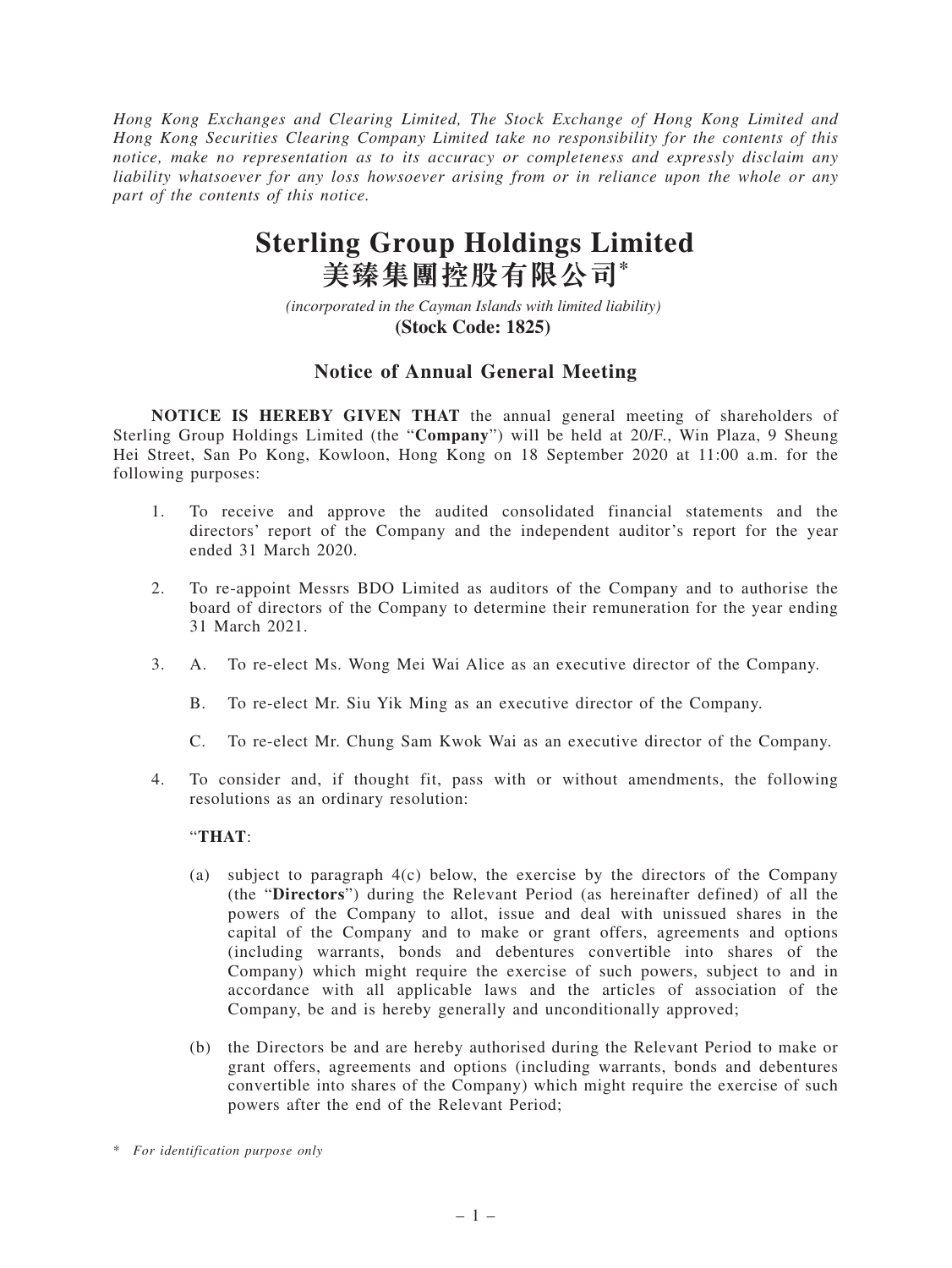*Hong Kong Exchanges and Clearing Limited, The Stock Exchange of Hong Kong Limited and Hong Kong Securities Clearing Company Limited take no responsibility for the contents of this notice, make no representation as to its accuracy or completeness and expressly disclaim any liability whatsoever for any loss howsoever arising from or in reliance upon the whole or any part of the contents of this notice.*

## **Sterling Group Holdings Limited 美臻集團控股有限公司\***

*(incorporated in the Cayman Islands with limited liability)*  **(Stock Code: 1825)** 

## **Notice of Annual General Meeting**

**NOTICE IS HEREBY GIVEN THAT** the annual general meeting of shareholders of Sterling Group Holdings Limited (the "**Company**") will be held at 20/F., Win Plaza, 9 Sheung Hei Street, San Po Kong, Kowloon, Hong Kong on 18 September 2020 at 11:00 a.m. for the following purposes:

- 1. To receive and approve the audited consolidated financial statements and the directors' report of the Company and the independent auditor's report for the year ended 31 March 2020.
- 2. To re-appoint Messrs BDO Limited as auditors of the Company and to authorise the board of directors of the Company to determine their remuneration for the year ending 31 March 2021.
- 3. A. To re-elect Ms. Wong Mei Wai Alice as an executive director of the Company.
	- B. To re-elect Mr. Siu Yik Ming as an executive director of the Company.
	- C. To re-elect Mr. Chung Sam Kwok Wai as an executive director of the Company.
- 4. To consider and, if thought fit, pass with or without amendments, the following resolutions as an ordinary resolution:

## "**THAT**:

- (a) subject to paragraph 4(c) below, the exercise by the directors of the Company (the "**Directors**") during the Relevant Period (as hereinafter defined) of all the powers of the Company to allot, issue and deal with unissued shares in the capital of the Company and to make or grant offers, agreements and options (including warrants, bonds and debentures convertible into shares of the Company) which might require the exercise of such powers, subject to and in accordance with all applicable laws and the articles of association of the Company, be and is hereby generally and unconditionally approved;
- (b) the Directors be and are hereby authorised during the Relevant Period to make or grant offers, agreements and options (including warrants, bonds and debentures convertible into shares of the Company) which might require the exercise of such powers after the end of the Relevant Period;

<sup>\*</sup> *For identification purpose only*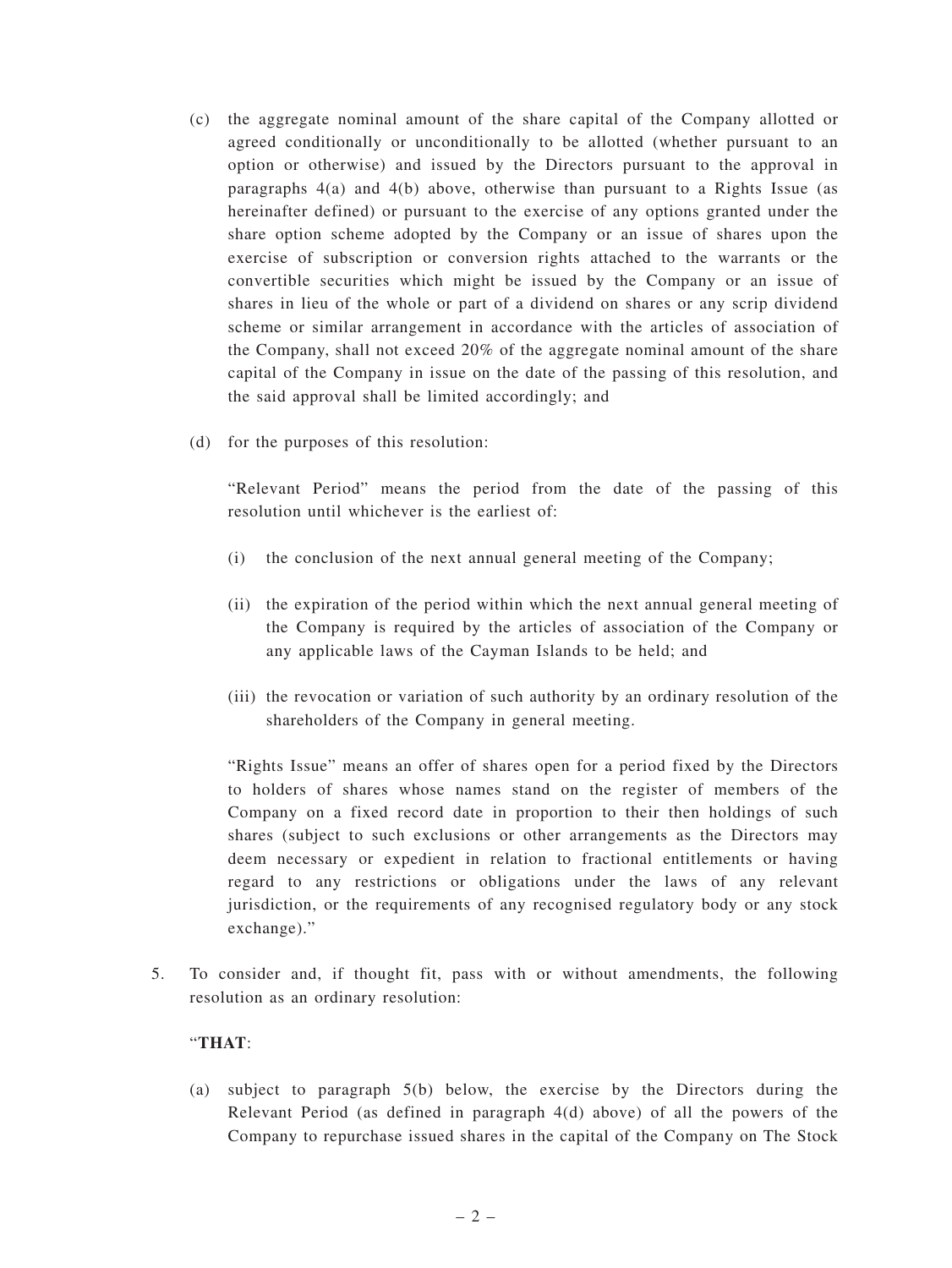- (c) the aggregate nominal amount of the share capital of the Company allotted or agreed conditionally or unconditionally to be allotted (whether pursuant to an option or otherwise) and issued by the Directors pursuant to the approval in paragraphs 4(a) and 4(b) above, otherwise than pursuant to a Rights Issue (as hereinafter defined) or pursuant to the exercise of any options granted under the share option scheme adopted by the Company or an issue of shares upon the exercise of subscription or conversion rights attached to the warrants or the convertible securities which might be issued by the Company or an issue of shares in lieu of the whole or part of a dividend on shares or any scrip dividend scheme or similar arrangement in accordance with the articles of association of the Company, shall not exceed 20% of the aggregate nominal amount of the share capital of the Company in issue on the date of the passing of this resolution, and the said approval shall be limited accordingly; and
- (d) for the purposes of this resolution:

"Relevant Period" means the period from the date of the passing of this resolution until whichever is the earliest of:

- (i) the conclusion of the next annual general meeting of the Company;
- (ii) the expiration of the period within which the next annual general meeting of the Company is required by the articles of association of the Company or any applicable laws of the Cayman Islands to be held; and
- (iii) the revocation or variation of such authority by an ordinary resolution of the shareholders of the Company in general meeting.

"Rights Issue" means an offer of shares open for a period fixed by the Directors to holders of shares whose names stand on the register of members of the Company on a fixed record date in proportion to their then holdings of such shares (subject to such exclusions or other arrangements as the Directors may deem necessary or expedient in relation to fractional entitlements or having regard to any restrictions or obligations under the laws of any relevant jurisdiction, or the requirements of any recognised regulatory body or any stock exchange)."

5. To consider and, if thought fit, pass with or without amendments, the following resolution as an ordinary resolution:

## "**THAT**:

(a) subject to paragraph 5(b) below, the exercise by the Directors during the Relevant Period (as defined in paragraph  $4(d)$  above) of all the powers of the Company to repurchase issued shares in the capital of the Company on The Stock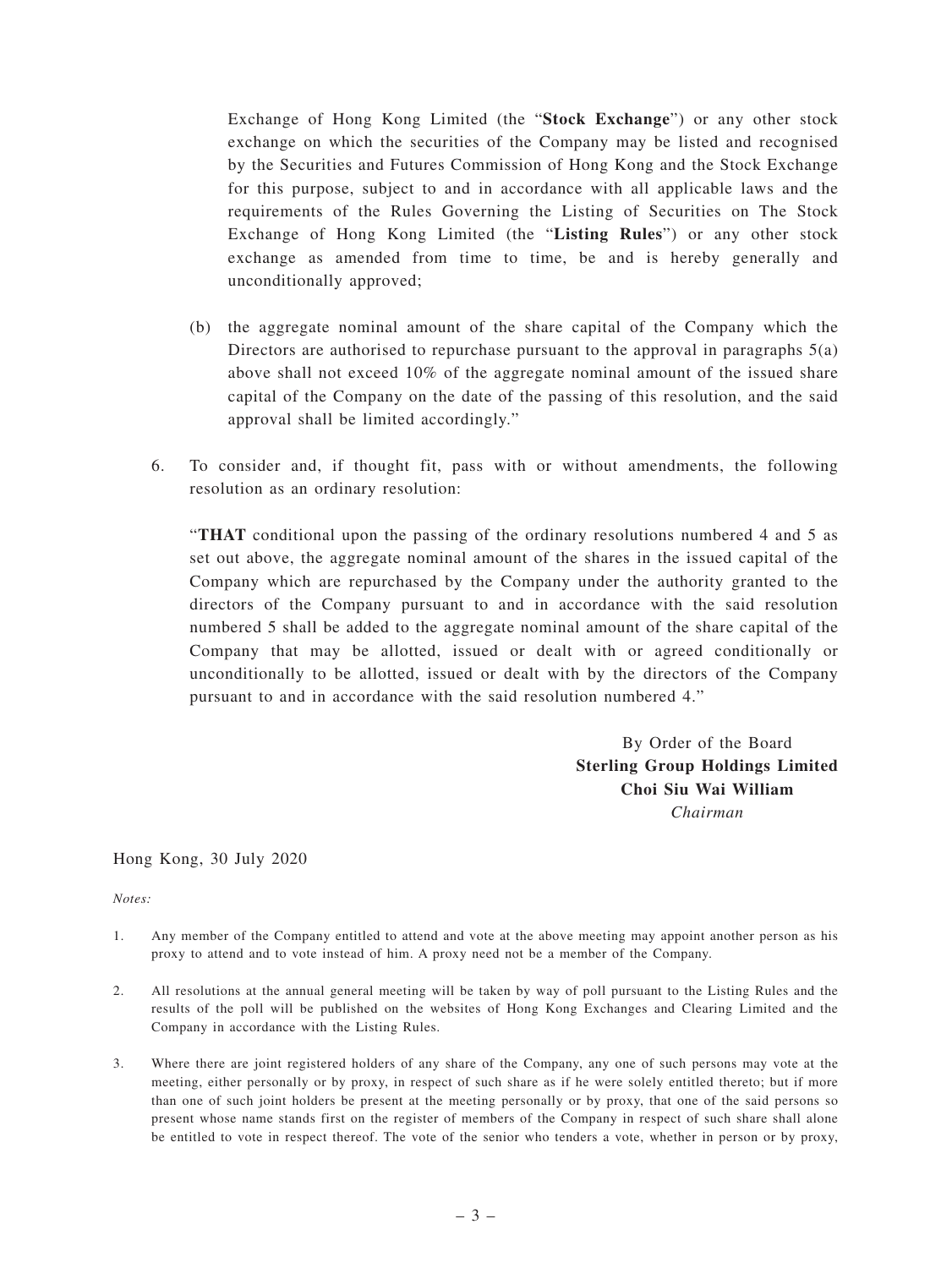Exchange of Hong Kong Limited (the "**Stock Exchange**") or any other stock exchange on which the securities of the Company may be listed and recognised by the Securities and Futures Commission of Hong Kong and the Stock Exchange for this purpose, subject to and in accordance with all applicable laws and the requirements of the Rules Governing the Listing of Securities on The Stock Exchange of Hong Kong Limited (the "**Listing Rules**") or any other stock exchange as amended from time to time, be and is hereby generally and unconditionally approved;

- (b) the aggregate nominal amount of the share capital of the Company which the Directors are authorised to repurchase pursuant to the approval in paragraphs 5(a) above shall not exceed 10% of the aggregate nominal amount of the issued share capital of the Company on the date of the passing of this resolution, and the said approval shall be limited accordingly."
- 6. To consider and, if thought fit, pass with or without amendments, the following resolution as an ordinary resolution:

"**THAT** conditional upon the passing of the ordinary resolutions numbered 4 and 5 as set out above, the aggregate nominal amount of the shares in the issued capital of the Company which are repurchased by the Company under the authority granted to the directors of the Company pursuant to and in accordance with the said resolution numbered 5 shall be added to the aggregate nominal amount of the share capital of the Company that may be allotted, issued or dealt with or agreed conditionally or unconditionally to be allotted, issued or dealt with by the directors of the Company pursuant to and in accordance with the said resolution numbered 4."

> By Order of the Board **Sterling Group Holdings Limited Choi Siu Wai William** *Chairman*

Hong Kong, 30 July 2020

*Notes:*

- 1. Any member of the Company entitled to attend and vote at the above meeting may appoint another person as his proxy to attend and to vote instead of him. A proxy need not be a member of the Company.
- 2. All resolutions at the annual general meeting will be taken by way of poll pursuant to the Listing Rules and the results of the poll will be published on the websites of Hong Kong Exchanges and Clearing Limited and the Company in accordance with the Listing Rules.
- 3. Where there are joint registered holders of any share of the Company, any one of such persons may vote at the meeting, either personally or by proxy, in respect of such share as if he were solely entitled thereto; but if more than one of such joint holders be present at the meeting personally or by proxy, that one of the said persons so present whose name stands first on the register of members of the Company in respect of such share shall alone be entitled to vote in respect thereof. The vote of the senior who tenders a vote, whether in person or by proxy,